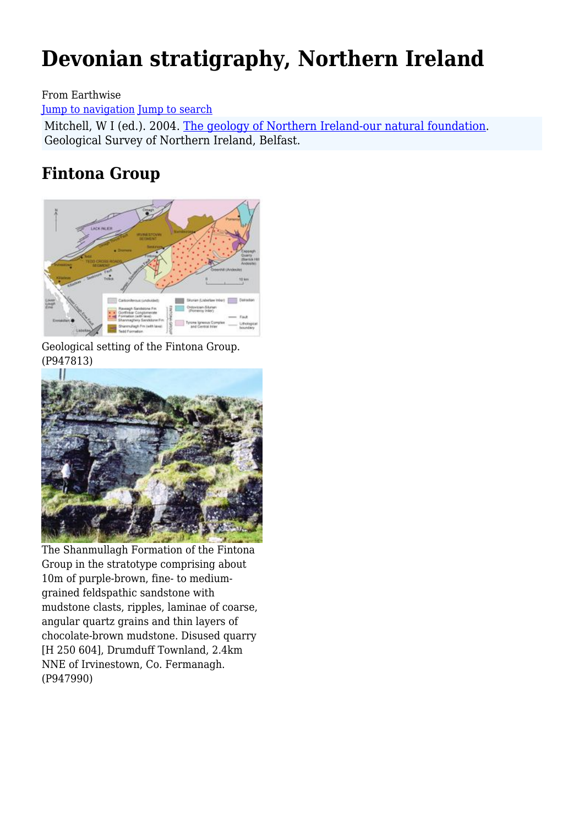# **Devonian stratigraphy, Northern Ireland**

From Earthwise

[Jump to navigation](#page--1-0) [Jump to search](#page--1-0)

Mitchell, W I (ed.). 2004. [The geology of Northern Ireland-our natural foundation](http://earthwise.bgs.ac.uk/index.php/Geology_of_Northern_Ireland:_our_natural_foundation). Geological Survey of Northern Ireland, Belfast.

## **Fintona Group**



Geological setting of the Fintona Group. (P947813)



The Shanmullagh Formation of the Fintona Group in the stratotype comprising about 10m of purple-brown, fine- to mediumgrained feldspathic sandstone with mudstone clasts, ripples, laminae of coarse, angular quartz grains and thin layers of chocolate-brown mudstone. Disused quarry [H 250 604], Drumduff Townland, 2.4km NNE of Irvinestown, Co. Fermanagh. (P947990)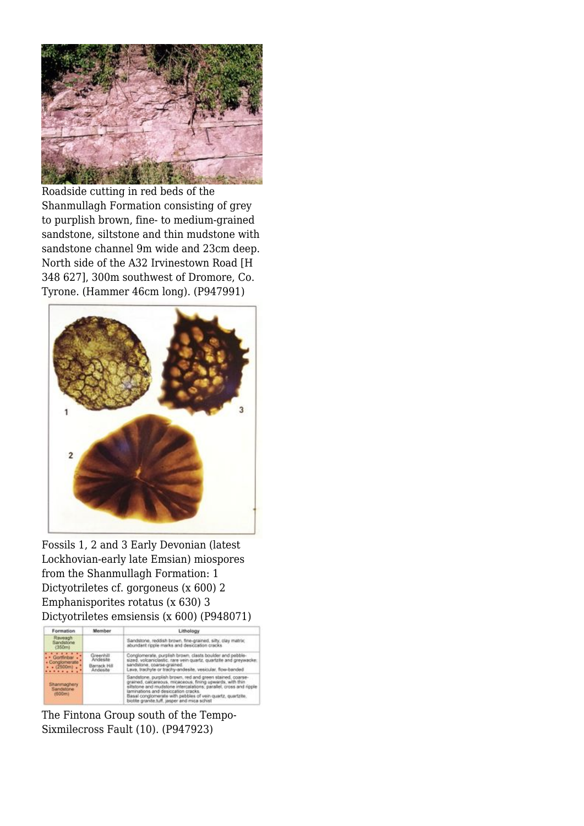

Roadside cutting in red beds of the Shanmullagh Formation consisting of grey to purplish brown, fine- to medium-grained sandstone, siltstone and thin mudstone with sandstone channel 9m wide and 23cm deep. North side of the A32 Irvinestown Road [H 348 627], 300m southwest of Dromore, Co. Tyrone. (Hammer 46cm long). (P947991)



Fossils 1, 2 and 3 Early Devonian (latest Lockhovian-early late Emsian) miospores from the Shanmullagh Formation: 1 Dictyotriletes cf. gorgoneus (x 600) 2 Emphanisporites rotatus (x 630) 3 Dictyotriletes emsiensis (x 600) (P948071)



The Fintona Group south of the Tempo-Sixmilecross Fault (10). (P947923)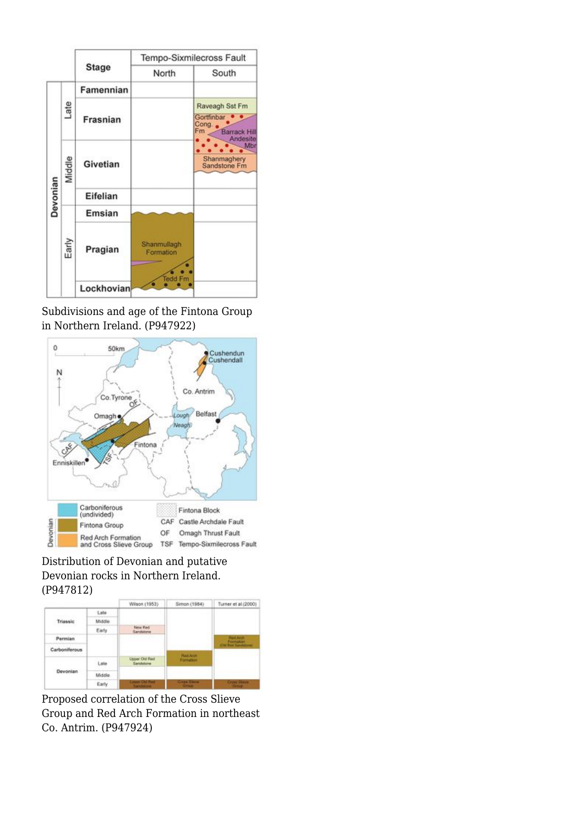

Subdivisions and age of the Fintona Group in Northern Ireland. (P947922)



Distribution of Devonian and putative Devonian rocks in Northern Ireland. (P947812)



Proposed correlation of the Cross Slieve Group and Red Arch Formation in northeast Co. Antrim. (P947924)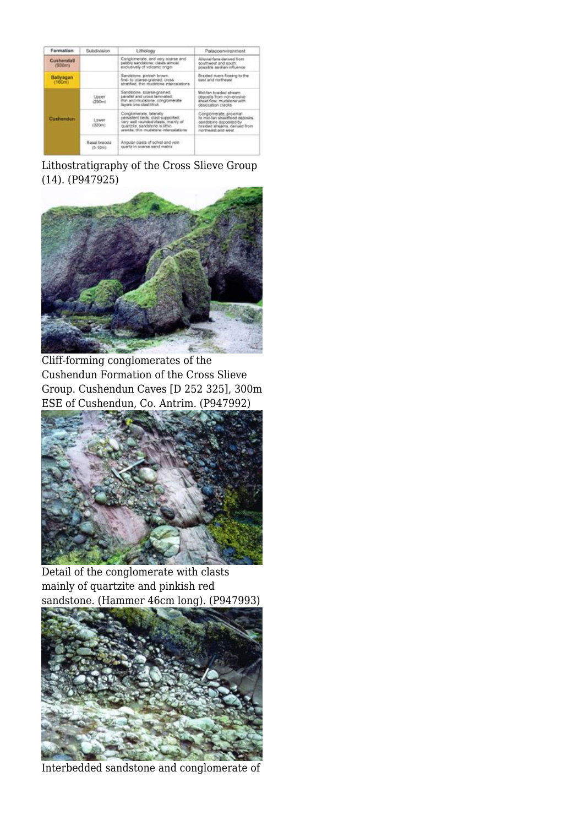| Formation             | Subdivision                | Lithology                                                                                                                                                                           | Palaeoenvironment                                                                                                                                   |
|-----------------------|----------------------------|-------------------------------------------------------------------------------------------------------------------------------------------------------------------------------------|-----------------------------------------------------------------------------------------------------------------------------------------------------|
| Cushendall<br>(BDOes) |                            | Conglometate, and very coarse and<br>pabbly sandstone: clasts aimost<br>exclusively of volcanic origin.                                                                             | Alluvial fams dariusd from<br>southwest and south.<br>possible aeclian influence                                                                    |
| Ballyagan<br>(160m)   |                            | Sandstone, pinkleh brown.<br>fine- to coarse-grained: cross<br>stratified. thin mudations intercalations.                                                                           | Braided them fowing to the<br>east and northeast                                                                                                    |
| <b>Cushandon</b>      | Upper<br>(290mi)           | Sandstone, coarse-gramed,<br>parafiel and cross laminated.<br>thin and mudstone; conglomerate<br>layers one clast thick                                                             | Mid-fan braided stream.<br>deposits from non-erosive<br>aheat fice/ mudatorie with<br>desiccation cracks.                                           |
|                       | Lizwer<br>£320ml           | Conglometate, telerally<br>persistent beds: clast supported.<br>very well rounded clasts, mainly of<br>ouartzte: sandstone is little.<br>anentile. thirt mustabling intercalations. | Consiomerate, proximal<br>to mid-fan sheetflood deposits;<br>sandstone deposited by<br>braided streams, derived from<br><b>Stew Dris Stewarthon</b> |
|                       | Basal breccia<br>$(5-10m)$ | Angular classs of schiet and vein<br>quartz in coarse send matrix.                                                                                                                  |                                                                                                                                                     |

Lithostratigraphy of the Cross Slieve Group (14). (P947925)



Cliff-forming conglomerates of the Cushendun Formation of the Cross Slieve Group. Cushendun Caves [D 252 325], 300m ESE of Cushendun, Co. Antrim. (P947992)



Detail of the conglomerate with clasts mainly of quartzite and pinkish red sandstone. (Hammer 46cm long). (P947993)



Interbedded sandstone and conglomerate of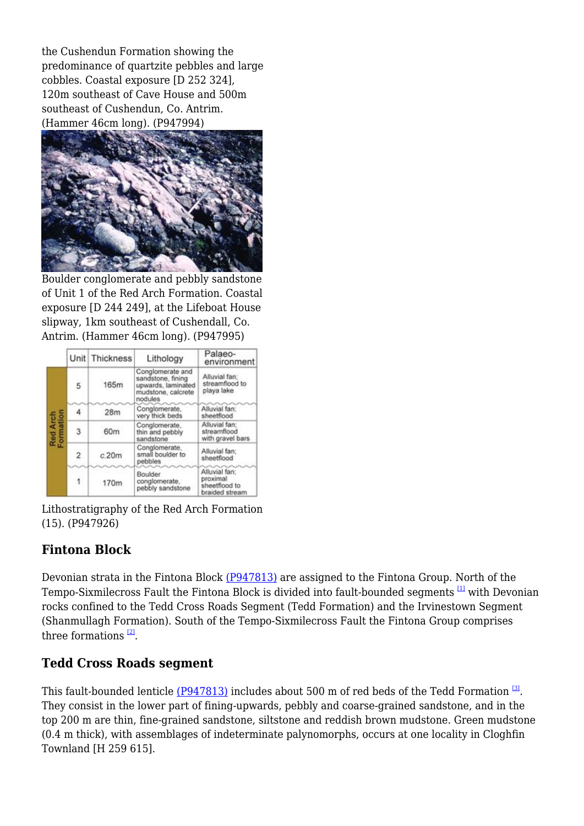the Cushendun Formation showing the predominance of quartzite pebbles and large cobbles. Coastal exposure [D 252 324], 120m southeast of Cave House and 500m southeast of Cushendun, Co. Antrim. (Hammer 46cm long). (P947994)



Boulder conglomerate and pebbly sandstone of Unit 1 of the Red Arch Formation. Coastal exposure [D 244 249], at the Lifeboat House slipway, 1km southeast of Cushendall, Co. Antrim. (Hammer 46cm long). (P947995)

|                       |   | Unit Thickness | Lithology                                                                                    | Palaeo-<br>environment                                       |
|-----------------------|---|----------------|----------------------------------------------------------------------------------------------|--------------------------------------------------------------|
| Red Arch<br>Formation | 5 | 165m           | Conglomerate and<br>sandstone, fining<br>upwards, laminated<br>mudstone, calcrete<br>nodules | Alluvial fan:<br>streamflood to<br>playa lake                |
|                       |   | 28m            | Conglomerate,<br>very thick beds                                                             | Alluvial fan:<br>sheetflood                                  |
|                       | 3 | 60m            | Conglomerate,<br>thin and pebbly<br>sandstone                                                | Alluvial fan:<br>streamflood<br>with gravel bars             |
|                       | 2 | c.20m          | Conglomerate.<br>small boulder to<br>pebbles                                                 | Alluvial fan:<br>sheetflood                                  |
|                       |   | 170m           | Boulder<br>conglomerate,<br>pebbly sandstone                                                 | Alluvial fan:<br>proximal<br>sheetflood to<br>braided stream |

Lithostratigraphy of the Red Arch Formation (15). (P947926)

## **Fintona Block**

Devonian strata in the Fintona Block [\(P947813\)](http://earthwise.bgs.ac.uk/images/4/46/P947813.jpg) are assigned to the Fintona Group. North of the Tempo-Sixmilecross Fault the Fintona Block is divided into fault-bounded segments  $\frac{11}{2}$  with Devonian rocks confined to the Tedd Cross Roads Segment (Tedd Formation) and the Irvinestown Segment (Shanmullagh Formation). South of the Tempo-Sixmilecross Fault the Fintona Group comprises three formations  $^{[2]}$  $^{[2]}$  $^{[2]}$ .

## **Tedd Cross Roads segment**

This fault-bounded lenticle <u>(P947813)</u> includes about 500 m of red beds of the Tedd Formation  $^{\text{\tiny{[3]}}}$  $^{\text{\tiny{[3]}}}$  $^{\text{\tiny{[3]}}}$ . They consist in the lower part of fining-upwards, pebbly and coarse-grained sandstone, and in the top 200 m are thin, fine-grained sandstone, siltstone and reddish brown mudstone. Green mudstone (0.4 m thick), with assemblages of indeterminate palynomorphs, occurs at one locality in Cloghfin Townland [H 259 615].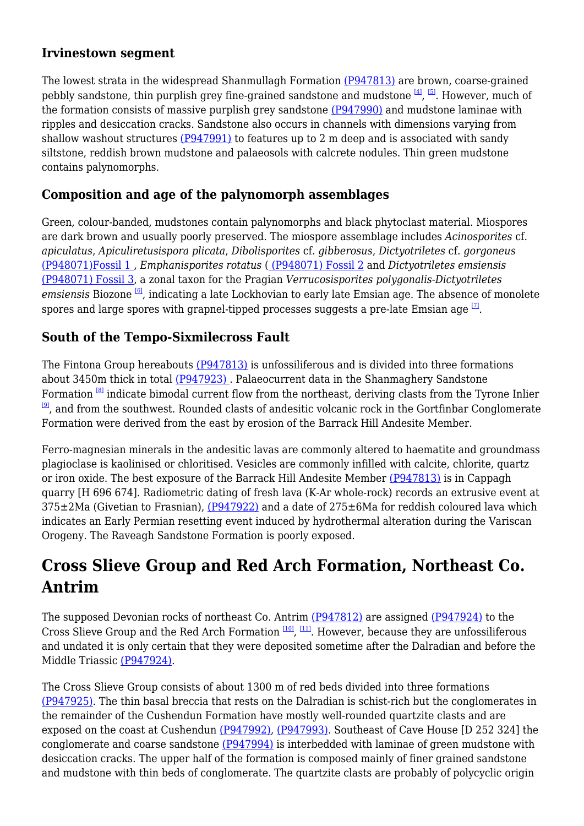#### **Irvinestown segment**

The lowest strata in the widespread Shanmullagh Formation [\(P947813\)](http://earthwise.bgs.ac.uk/images/4/46/P947813.jpg) are brown, coarse-grained pebbly sandstone, thin purplish grey fine-grained sandstone and mudstone  $^{[4]}$  $^{[4]}$  $^{[4]}$ ,  $^{[5]}$  $^{[5]}$  $^{[5]}$ . However, much of the formation consists of massive purplish grey sandstone [\(P947990\)](http://earthwise.bgs.ac.uk/images/2/26/P947990.jpg) and mudstone laminae with ripples and desiccation cracks. Sandstone also occurs in channels with dimensions varying from shallow washout structures [\(P947991\)](http://earthwise.bgs.ac.uk/images/7/77/P947991.jpg) to features up to 2 m deep and is associated with sandy siltstone, reddish brown mudstone and palaeosols with calcrete nodules. Thin green mudstone contains palynomorphs.

## **Composition and age of the palynomorph assemblages**

Green, colour-banded, mudstones contain palynomorphs and black phytoclast material. Miospores are dark brown and usually poorly preserved. The miospore assemblage includes *Acinosporites* cf. *apiculatus*, *Apiculiretusispora plicata*, *Dibolisporites* cf. *gibberosus*, *Dictyotriletes* cf. *gorgoneus* [\(P948071\)Fossil 1 ,](http://earthwise.bgs.ac.uk/images/4/41/P948071.jpg) *Emphanisporites rotatus* ( [\(P948071\) Fossil 2](http://earthwise.bgs.ac.uk/images/4/41/P948071.jpg) and *Dictyotriletes emsiensis* [\(P948071\) Fossil 3,](http://earthwise.bgs.ac.uk/images/4/41/P948071.jpg) a zonal taxon for the Pragian *Verrucosisporites polygonalis*-*Dictyotriletes emsiensis* Biozone [\[6\]](#page--1-0), indicating a late Lockhovian to early late Emsian age. The absence of monolete spores and large spores with grapnel-tipped processes suggests a pre-late Emsian age  $^{\text{\tiny{[2]}}}$ .

## **South of the Tempo-Sixmilecross Fault**

The Fintona Group hereabouts [\(P947813\)](http://earthwise.bgs.ac.uk/images/4/46/P947813.jpg) is unfossiliferous and is divided into three formations about 3450m thick in total [\(P947923\)](http://earthwise.bgs.ac.uk/images/1/1e/P947923.jpg) . Palaeocurrent data in the Shanmaghery Sandstone Formation <sup>[\[8\]](#page--1-0)</sup> indicate bimodal current flow from the northeast, deriving clasts from the Tyrone Inlier  $[9]$ , and from the southwest. Rounded clasts of andesitic volcanic rock in the Gortfinbar Conglomerate Formation were derived from the east by erosion of the Barrack Hill Andesite Member.

Ferro-magnesian minerals in the andesitic lavas are commonly altered to haematite and groundmass plagioclase is kaolinised or chloritised. Vesicles are commonly infilled with calcite, chlorite, quartz or iron oxide. The best exposure of the Barrack Hill Andesite Member [\(P947813\)](http://earthwise.bgs.ac.uk/images/4/46/P947813.jpg) is in Cappagh quarry [H 696 674]. Radiometric dating of fresh lava (K-Ar whole-rock) records an extrusive event at  $375\pm2$ Ma (Givetian to Frasnian), ( $P947922$ ) and a date of  $275\pm6$ Ma for reddish coloured lava which indicates an Early Permian resetting event induced by hydrothermal alteration during the Variscan Orogeny. The Raveagh Sandstone Formation is poorly exposed.

## **Cross Slieve Group and Red Arch Formation, Northeast Co. Antrim**

The supposed Devonian rocks of northeast Co. Antrim [\(P947812\)](http://earthwise.bgs.ac.uk/images/7/76/P947812.jpg) are assigned [\(P947924\)](http://earthwise.bgs.ac.uk/images/e/eb/P947924.jpg) to the Cross Slieve Group and the Red Arch Formation  $^{[10]}$  $^{[10]}$  $^{[10]}$ ,  $^{[11]}$  $^{[11]}$  $^{[11]}$ . However, because they are unfossiliferous and undated it is only certain that they were deposited sometime after the Dalradian and before the Middle Triassic [\(P947924\)](http://earthwise.bgs.ac.uk/images/e/eb/P947924.jpg).

The Cross Slieve Group consists of about 1300 m of red beds divided into three formations [\(P947925\).](http://earthwise.bgs.ac.uk/images/d/d4/P947925.jpg) The thin basal breccia that rests on the Dalradian is schist-rich but the conglomerates in the remainder of the Cushendun Formation have mostly well-rounded quartzite clasts and are exposed on the coast at Cushendun [\(P947992\)](http://earthwise.bgs.ac.uk/images/c/ca/P947992.jpg), [\(P947993\).](http://earthwise.bgs.ac.uk/images/8/89/P947993.jpg) Southeast of Cave House [D 252 324] the conglomerate and coarse sandstone [\(P947994\)](http://earthwise.bgs.ac.uk/images/a/a0/P947994.jpg) is interbedded with laminae of green mudstone with desiccation cracks. The upper half of the formation is composed mainly of finer grained sandstone and mudstone with thin beds of conglomerate. The quartzite clasts are probably of polycyclic origin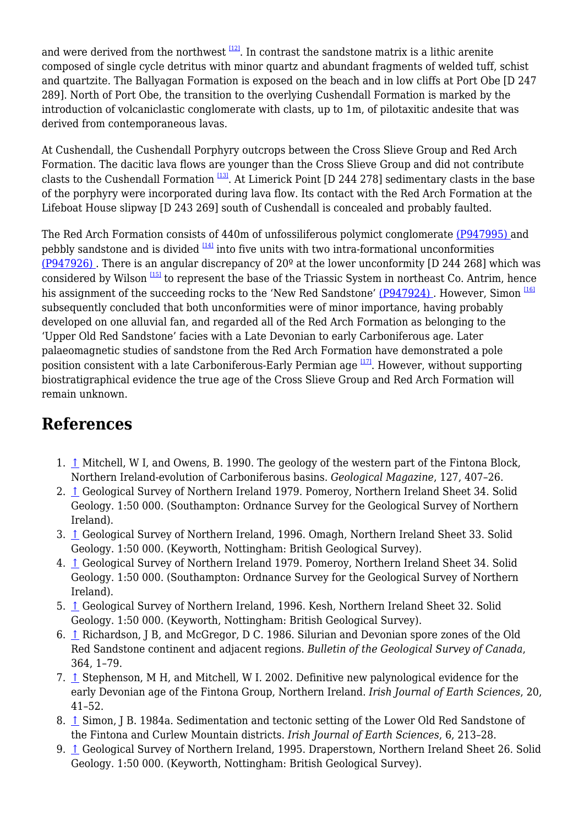and were derived from the northwest  $\frac{12}{2}$ . In contrast the sandstone matrix is a lithic arenite composed of single cycle detritus with minor quartz and abundant fragments of welded tuff, schist and quartzite. The Ballyagan Formation is exposed on the beach and in low cliffs at Port Obe [D 247 289]. North of Port Obe, the transition to the overlying Cushendall Formation is marked by the introduction of volcaniclastic conglomerate with clasts, up to 1m, of pilotaxitic andesite that was derived from contemporaneous lavas.

At Cushendall, the Cushendall Porphyry outcrops between the Cross Slieve Group and Red Arch Formation. The dacitic lava flows are younger than the Cross Slieve Group and did not contribute clasts to the Cushendall Formation  $\frac{133}{13}$ . At Limerick Point [D 244 278] sedimentary clasts in the base of the porphyry were incorporated during lava flow. Its contact with the Red Arch Formation at the Lifeboat House slipway [D 243 269] south of Cushendall is concealed and probably faulted.

The Red Arch Formation consists of 440m of unfossiliferous polymict conglomerate [\(P947995\) a](http://earthwise.bgs.ac.uk/images/9/92/P947995.jpg)nd pebbly sandstone and is divided  $[14]$  into five units with two intra-formational unconformities (P947926). There is an angular discrepancy of  $20^{\circ}$  at the lower unconformity [D 244 268] which was considered by Wilson  $\frac{115}{12}$  to represent the base of the Triassic System in northeast Co. Antrim, hence his assignment of the succeeding rocks to the 'New Red Sandstone' (P947924). However, Simon <sup>[\[16\]](#page--1-0)</sup> subsequently concluded that both unconformities were of minor importance, having probably developed on one alluvial fan, and regarded all of the Red Arch Formation as belonging to the 'Upper Old Red Sandstone' facies with a Late Devonian to early Carboniferous age. Later palaeomagnetic studies of sandstone from the Red Arch Formation have demonstrated a pole position consistent with a late Carboniferous-Early Permian age  $\frac{177}{12}$ . However, without supporting biostratigraphical evidence the true age of the Cross Slieve Group and Red Arch Formation will remain unknown.

## **References**

- 1. [↑](#page--1-0) Mitchell, W I, and Owens, B. 1990. The geology of the western part of the Fintona Block, Northern Ireland-evolution of Carboniferous basins. *Geological Magazine*, 127, 407–26.
- 2. [↑](#page--1-0) Geological Survey of Northern Ireland 1979. Pomeroy, Northern Ireland Sheet 34. Solid Geology. 1:50 000. (Southampton: Ordnance Survey for the Geological Survey of Northern Ireland).
- 3. [↑](#page--1-0) Geological Survey of Northern Ireland, 1996. Omagh, Northern Ireland Sheet 33. Solid Geology. 1:50 000. (Keyworth, Nottingham: British Geological Survey).
- 4. [↑](#page--1-0) Geological Survey of Northern Ireland 1979. Pomeroy, Northern Ireland Sheet 34. Solid Geology. 1:50 000. (Southampton: Ordnance Survey for the Geological Survey of Northern Ireland).
- 5. [↑](#page--1-0) Geological Survey of Northern Ireland, 1996. Kesh, Northern Ireland Sheet 32. Solid Geology. 1:50 000. (Keyworth, Nottingham: British Geological Survey).
- 6. [↑](#page--1-0) Richardson, J B, and McGregor, D C. 1986. Silurian and Devonian spore zones of the Old Red Sandstone continent and adjacent regions. *Bulletin of the Geological Survey of Canada*, 364, 1–79.
- 7. [↑](#page--1-0) Stephenson, M H, and Mitchell, W I. 2002. Definitive new palynological evidence for the early Devonian age of the Fintona Group, Northern Ireland. *Irish Journal of Earth Sciences*, 20, 41–52.
- 8. [↑](#page--1-0) Simon, J B. 1984a. Sedimentation and tectonic setting of the Lower Old Red Sandstone of the Fintona and Curlew Mountain districts. *Irish Journal of Earth Sciences*, 6, 213–28.
- 9. [↑](#page--1-0) Geological Survey of Northern Ireland, 1995. Draperstown, Northern Ireland Sheet 26. Solid Geology. 1:50 000. (Keyworth, Nottingham: British Geological Survey).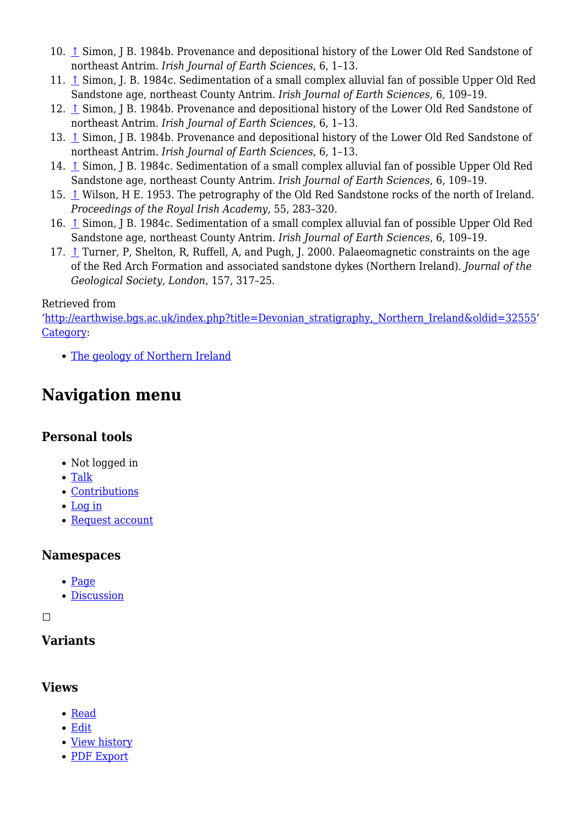- 10. [↑](#page--1-0) Simon, J B. 1984b. Provenance and depositional history of the Lower Old Red Sandstone of northeast Antrim. *Irish Journal of Earth Sciences*, 6, 1–13.
- 11. [↑](#page--1-0) Simon, J. B. 1984c. Sedimentation of a small complex alluvial fan of possible Upper Old Red Sandstone age, northeast County Antrim. *Irish Journal of Earth Sciences*, 6, 109–19.
- 12. [↑](#page--1-0) Simon, J B. 1984b. Provenance and depositional history of the Lower Old Red Sandstone of northeast Antrim. *Irish Journal of Earth Sciences*, 6, 1–13.
- 13. [↑](#page--1-0) Simon, J B. 1984b. Provenance and depositional history of the Lower Old Red Sandstone of northeast Antrim. *Irish Journal of Earth Sciences*, 6, 1–13.
- 14. [↑](#page--1-0) Simon, J B. 1984c. Sedimentation of a small complex alluvial fan of possible Upper Old Red Sandstone age, northeast County Antrim. *Irish Journal of Earth Sciences*, 6, 109–19.
- 15. [↑](#page--1-0) Wilson, H E. 1953. The petrography of the Old Red Sandstone rocks of the north of Ireland. *Proceedings of the Royal Irish Academy*, 55, 283–320.
- 16. [↑](#page--1-0) Simon, J B. 1984c. Sedimentation of a small complex alluvial fan of possible Upper Old Red Sandstone age, northeast County Antrim. *Irish Journal of Earth Sciences*, 6, 109–19.
- 17. [↑](#page--1-0) Turner, P, Shelton, R, Ruffell, A, and Pugh, J. 2000. Palaeomagnetic constraints on the age of the Red Arch Formation and associated sandstone dykes (Northern Ireland). *Journal of the Geological Society, London*, 157, 317–25.

#### Retrieved from

'[http://earthwise.bgs.ac.uk/index.php?title=Devonian\\_stratigraphy,\\_Northern\\_Ireland&oldid=32555'](http://earthwise.bgs.ac.uk/index.php?title=Devonian_stratigraphy,_Northern_Ireland&oldid=32555) [Category](http://earthwise.bgs.ac.uk/index.php/Special:Categories):

• [The geology of Northern Ireland](http://earthwise.bgs.ac.uk/index.php/Category:The_geology_of_Northern_Ireland)

## **Navigation menu**

#### **Personal tools**

- Not logged in
- [Talk](http://earthwise.bgs.ac.uk/index.php/Special:MyTalk)
- [Contributions](http://earthwise.bgs.ac.uk/index.php/Special:MyContributions)
- [Log in](http://earthwise.bgs.ac.uk/index.php?title=Special:UserLogin&returnto=Devonian+stratigraphy%2C+Northern+Ireland&returntoquery=action%3Dmpdf)
- [Request account](http://earthwise.bgs.ac.uk/index.php/Special:RequestAccount)

## **Namespaces**

- $\bullet$  [Page](http://earthwise.bgs.ac.uk/index.php/Devonian_stratigraphy,_Northern_Ireland)
- [Discussion](http://earthwise.bgs.ac.uk/index.php?title=Talk:Devonian_stratigraphy,_Northern_Ireland&action=edit&redlink=1)

 $\Box$ 

## **Variants**

## **Views**

- [Read](http://earthwise.bgs.ac.uk/index.php/Devonian_stratigraphy,_Northern_Ireland)
- [Edit](http://earthwise.bgs.ac.uk/index.php?title=Devonian_stratigraphy,_Northern_Ireland&action=edit)
- [View history](http://earthwise.bgs.ac.uk/index.php?title=Devonian_stratigraphy,_Northern_Ireland&action=history)
- [PDF Export](http://earthwise.bgs.ac.uk/index.php?title=Devonian_stratigraphy,_Northern_Ireland&action=mpdf)